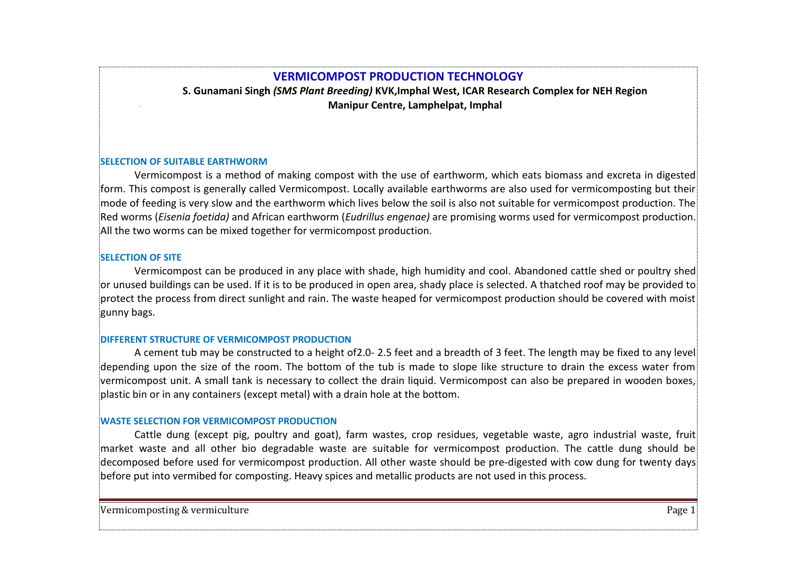# **VERMICOMPOST PRODUCTION TECHNOLOGY**

**S. Gunamani Singh** *(SMS Plant Breeding)* **KVK,Imphal West, ICAR Research Complex for NEH Region Manipur Centre, Lamphelpat, Imphal**

## **SELECTION OF SUITABLE EARTHWORM**

Vermicompost is a method of making compost with the use of earthworm, which eats biomass and excreta in digested form. This compost is generally called Vermicompost. Locally available earthworms are also used for vermicomposting but their mode of feeding is very slow and the earthworm which lives below the soil is also not suitable for vermicompost production. The Red worms (*Eisenia foetida)* and African earthworm (*Eudrillus engenae)* are promising worms used for vermicompost production. All the two worms can be mixed together for vermicompost production.

# **SELECTION OF SITE**

Vermicompost can be produced in any place with shade, high humidity and cool. Abandoned cattle shed or poultry shed or unused buildings can be used. If it is to be produced in open area, shady place is selected. A thatched roof may be provided to  $|$ protect the process from direct sunlight and rain. The waste heaped for vermicompost production should be covered with moist  $|$ gunny bags.

## **DIFFERENT STRUCTURE OF VERMICOMPOST PRODUCTION**

A cement tub may be constructed to a height of2.0- 2.5 feet and a breadth of 3 feet. The length may be fixed to any level depending upon the size of the room. The bottom of the tub is made to slope like structure to drain the excess water from vermicompost unit. A small tank is necessary to collect the drain liquid. Vermicompost can also be prepared in wooden boxes, plastic bin or in any containers (except metal) with a drain hole at the bottom.

## **WASTE SELECTION FOR VERMICOMPOST PRODUCTION**

Cattle dung (except pig, poultry and goat), farm wastes, crop residues, vegetable waste, agro industrial waste, fruit market waste and all other bio degradable waste are suitable for vermicompost production. The cattle dung should be decomposed before used for vermicompost production. All other waste should be pre-digested with cow dung for twenty days before put into vermibed for composting. Heavy spices and metallic products are not used in this process.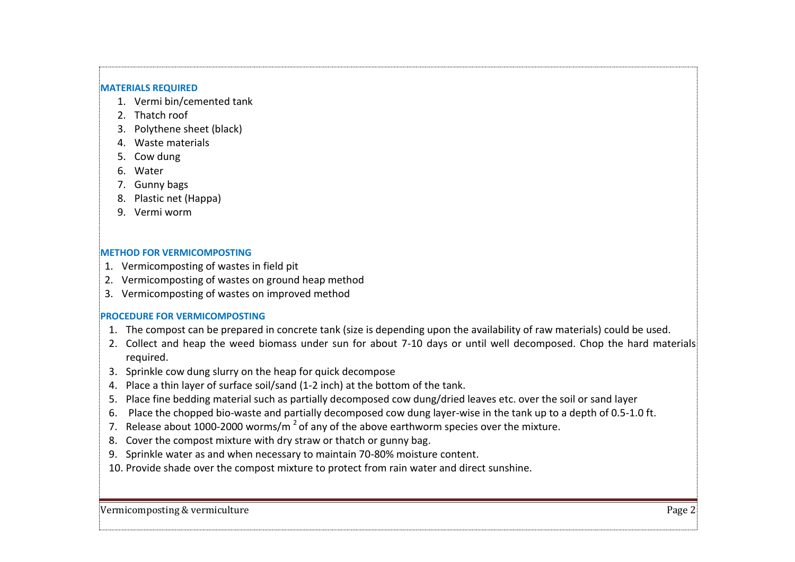#### **MATERIALS REQUIRED**

- 1. Vermi bin/cemented tank
- 2. Thatch roof
- 3. Polythene sheet (black)
- 4. Waste materials
- 5. Cow dung
- 6. Water
- 7. Gunny bags
- 8. Plastic net (Happa)
- 9. Vermi worm

## **METHOD FOR VERMICOMPOSTING**

- 1. Vermicomposting of wastes in field pit
- 2. Vermicomposting of wastes on ground heap method
- 3. Vermicomposting of wastes on improved method

# **PROCEDURE FOR VERMICOMPOSTING**

- 1. The compost can be prepared in concrete tank (size is depending upon the availability of raw materials) could be used.
- 2. Collect and heap the weed biomass under sun for about 7-10 days or until well decomposed. Chop the hard materials required.
- 3. Sprinkle cow dung slurry on the heap for quick decompose
- 4. Place a thin layer of surface soil/sand (1-2 inch) at the bottom of the tank.
- 5. Place fine bedding material such as partially decomposed cow dung/dried leaves etc. over the soil or sand layer
- 6. Place the chopped bio-waste and partially decomposed cow dung layer-wise in the tank up to a depth of 0.5-1.0 ft.
- 7. Release about 1000-2000 worms/m<sup>2</sup> of any of the above earthworm species over the mixture.
- 8. Cover the compost mixture with dry straw or thatch or gunny bag.
- 9. Sprinkle water as and when necessary to maintain 70-80% moisture content.
- 10. Provide shade over the compost mixture to protect from rain water and direct sunshine.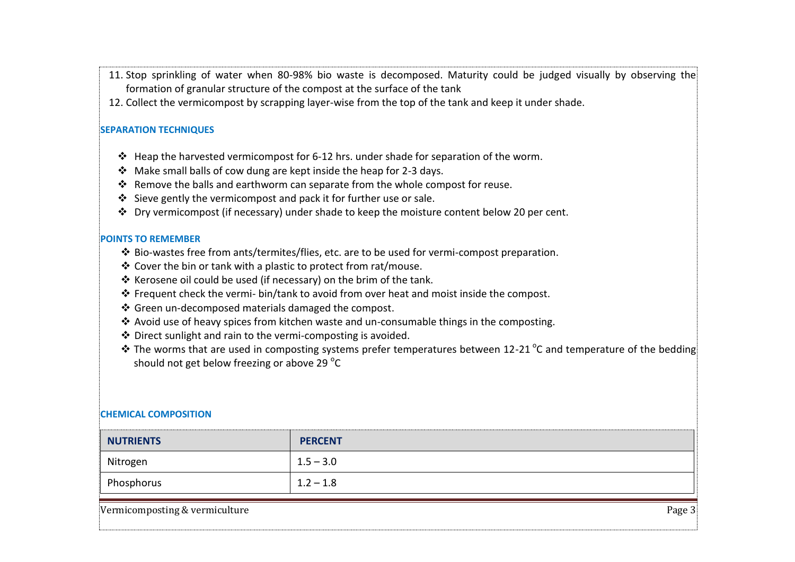- 11. Stop sprinkling of water when 80-98% bio waste is decomposed. Maturity could be judged visually by observing the formation of granular structure of the compost at the surface of the tank
- 12. Collect the vermicompost by scrapping layer-wise from the top of the tank and keep it under shade.

## **SEPARATION TECHNIQUES**

- Heap the harvested vermicompost for 6-12 hrs. under shade for separation of the worm.
- $\div$  Make small balls of cow dung are kept inside the heap for 2-3 days.
- $\div$  Remove the balls and earthworm can separate from the whole compost for reuse.
- Sieve gently the vermicompost and pack it for further use or sale.
- $\cdot \cdot$  Dry vermicompost (if necessary) under shade to keep the moisture content below 20 per cent.

## **POINTS TO REMEMBER**

- $\clubsuit$  Bio-wastes free from ants/termites/flies, etc. are to be used for vermi-compost preparation.
- Cover the bin or tank with a plastic to protect from rat/mouse.
- \* Kerosene oil could be used (if necessary) on the brim of the tank.
- \* Frequent check the vermi- bin/tank to avoid from over heat and moist inside the compost.
- Green un-decomposed materials damaged the compost.
- Avoid use of heavy spices from kitchen waste and un-consumable things in the composting.
- Direct sunlight and rain to the vermi-composting is avoided.
- $*$  The worms that are used in composting systems prefer temperatures between 12-21 °C and temperature of the bedding should not get below freezing or above 29  $^{\circ}$ C

# **CHEMICAL COMPOSITION**

| <b>NUTRIENTS</b> | <b>PERCENT</b> |
|------------------|----------------|
| Nitrogen         | $1.5 - 3.0$    |
| Phosphorus       | $1.2 - 1.8$    |

Vermicomposting & vermiculture Page 3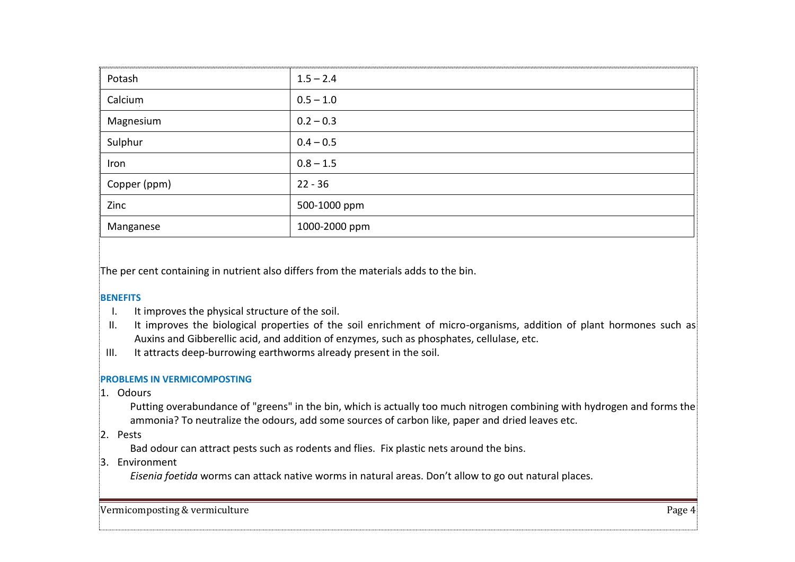| Potash       | $1.5 - 2.4$   |
|--------------|---------------|
| Calcium      | $0.5 - 1.0$   |
| Magnesium    | $0.2 - 0.3$   |
| Sulphur      | $0.4 - 0.5$   |
| Iron         | $0.8 - 1.5$   |
| Copper (ppm) | $22 - 36$     |
| Zinc         | 500-1000 ppm  |
| Manganese    | 1000-2000 ppm |

The per cent containing in nutrient also differs from the materials adds to the bin.

# **BENEFITS**

- I. It improves the physical structure of the soil.
- II. It improves the biological properties of the soil enrichment of micro-organisms, addition of plant hormones such as Auxins and Gibberellic acid, and addition of enzymes, such as phosphates, cellulase, etc.
- III. It attracts deep-burrowing earthworms already present in the soil.

# **PROBLEMS IN VERMICOMPOSTING**

1. Odours

Putting overabundance of "greens" in the bin, which is actually too much nitrogen combining with hydrogen and forms the ammonia? To neutralize the odours, add some sources of carbon like, paper and dried leaves etc.

2. Pests

Bad odour can attract pests such as rodents and flies. Fix plastic nets around the bins.

3. Environment

*Eisenia foetida* worms can attack native worms in natural areas. Don't allow to go out natural places.

Vermicomposting & vermiculture Page 4